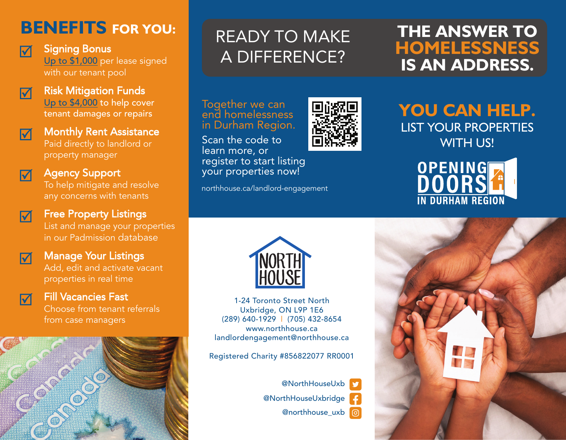### **BENEFITS FOR YOU:**



**Signing Bonus<br>Up to \$1,000** per lease signed with our tenant pool



 $\overline{\mathsf{M}}$ 

#### Risk Mitigation Funds<br><u>Up to \$4,000</u> to help cover tenant damages or repairs

**Monthly Rent Assistance**<br>Paid direct<u>ly to landlord or</u> property manager



## **Agency Support**<br>To help mitigate and resolve

any concerns with tenants



## **Free Property Listings**<br>List and manage your properties

in our Padmission database



# **Manage Your Listings**<br>Add, edit and activate vacant

properties in real time



## **The Fill Vacancies Fast**<br>Choose from tenant referrals

from case managers



## READY TO MAKE A DIFFERENCE?

Together we can<br>end homelessness in Durham Region.

Scan the code to learn more, or register to start listing your properties now!

northhouse.ca/landlord-engagement



# **YOU CAN HELP.**  LIST YOUR PROPERTIES

WITH US!

OPENING IN DURHAM REGION



1-24 Toronto Street NorthUxbridge, ON L9P 1E6 (289) 640-1929 | (705) 432-8654 www.northhouse.ca landlordengagement@northhouse.ca

Registered Charity #856822077 RR0001

@NorthHouseUxb@NorthHouseUxbridge @northhouse\_uxb | ල



#### **THE ANSWER TO HOMELESSNESS IS AN ADDRESS.**